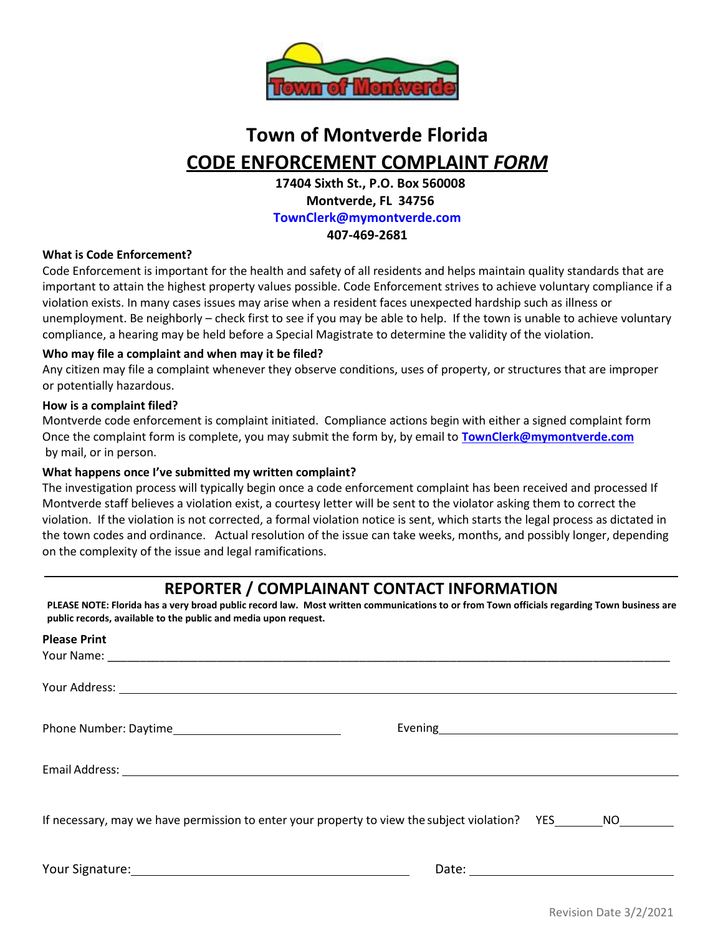

# **Town of Montverde Florida CODE ENFORCEMENT COMPLAINT** *FORM*

**17404 Sixth St., P.O. Box 560008 Montverde, FL 34756 [TownClerk@mymontverde.com](mailto:TownClerk@mymontverde.com) 407-469-2681**

#### **What is Code Enforcement?**

Code Enforcement is important for the health and safety of all residents and helps maintain quality standards that are important to attain the highest property values possible. Code Enforcement strives to achieve voluntary compliance if a violation exists. In many cases issues may arise when a resident faces unexpected hardship such as illness or unemployment. Be neighborly – check first to see if you may be able to help. If the town is unable to achieve voluntary compliance, a hearing may be held before a Special Magistrate to determine the validity of the violation.

#### **Who may file a complaint and when may it be filed?**

Any citizen may file a complaint whenever they observe conditions, uses of property, or structures that are improper or potentially hazardous.

#### **How is a complaint filed?**

Montverde code enforcement is complaint initiated. Compliance actions begin with either a signed complaint form Once the complaint form is complete, you may submit the form by, by email to **[TownClerk@mymontverde.com](mailto:TownClerk@mymontverde.com)** [b](mailto:TownClerk@mymontverde.com)y mail, or in person.

#### **What happens once I've submitted my written complaint?**

The investigation process will typically begin once a code enforcement complaint has been received and processed If Montverde staff believes a violation exist, a courtesy letter will be sent to the violator asking them to correct the violation. If the violation is not corrected, a formal violation notice is sent, which starts the legal process as dictated in the town codes and ordinance. Actual resolution of the issue can take weeks, months, and possibly longer, depending on the complexity of the issue and legal ramifications.

### **REPORTER / COMPLAINANT CONTACT INFORMATION**

**PLEASE NOTE: Florida has a very broad public record law. Most written communications to or from Town officials regarding Town business are public records, available to the public and media upon request.**

| <b>Please Print</b>                                                                               |                                                                                                                                                                                                                                      |
|---------------------------------------------------------------------------------------------------|--------------------------------------------------------------------------------------------------------------------------------------------------------------------------------------------------------------------------------------|
|                                                                                                   |                                                                                                                                                                                                                                      |
|                                                                                                   |                                                                                                                                                                                                                                      |
|                                                                                                   | Evening <u>and the community of the community of the community of the community of the community of the community of the community of the community of the community of the community of the community of the community of the c</u> |
|                                                                                                   |                                                                                                                                                                                                                                      |
| If necessary, may we have permission to enter your property to view the subject violation? YES NO |                                                                                                                                                                                                                                      |
|                                                                                                   |                                                                                                                                                                                                                                      |